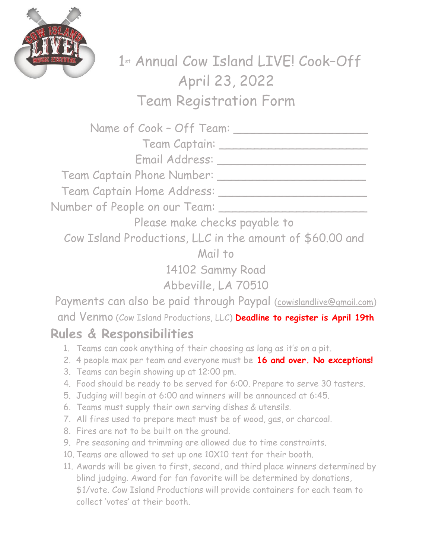

1 st Annual Cow Island LIVE! Cook–Off April 23, 2022 Team Registration Form

| Name of Cook - Off Team: _____                                                                                                                      |
|-----------------------------------------------------------------------------------------------------------------------------------------------------|
| Team Captain: ____________                                                                                                                          |
|                                                                                                                                                     |
|                                                                                                                                                     |
| Team Captain Home Address: ____                                                                                                                     |
| Number of People on our Team: __                                                                                                                    |
| Please make checks payable to                                                                                                                       |
| Cow Island Productions, LLC in the amount of \$60.00 and                                                                                            |
| Mail to                                                                                                                                             |
| 14102 Sammy Road                                                                                                                                    |
| Abbeville, LA 70510                                                                                                                                 |
| Payments can also be paid through Paypal (cowislandlive@gmail.com)                                                                                  |
| and Venmo (Cow Island Productions, LLC) Deadline to register is April 19th                                                                          |
| <b>Rules &amp; Responsibilities</b>                                                                                                                 |
| 1. Teams can cook anything of their choosing as long as it's on a pit.                                                                              |
| 2. 4 people max per team and everyone must be 16 and over. No exceptions!                                                                           |
| 3. Teams can begin showing up at 12:00 pm.                                                                                                          |
| 4. Food should be ready to be served for 6:00. Prepare to serve 30 tasters.<br>5. Judging will begin at 6:00 and winners will be announced at 6:45. |

- 6. Teams must supply their own serving dishes & utensils.
- 7. All fires used to prepare meat must be of wood, gas, or charcoal.
- 8. Fires are not to be built on the ground.
- 9. Pre seasoning and trimming are allowed due to time constraints.
- 10. Teams are allowed to set up one 10X10 tent for their booth.
- 11. Awards will be given to first, second, and third place winners determined by blind judging. Award for fan favorite will be determined by donations, \$1/vote. Cow Island Productions will provide containers for each team to collect 'votes' at their booth.